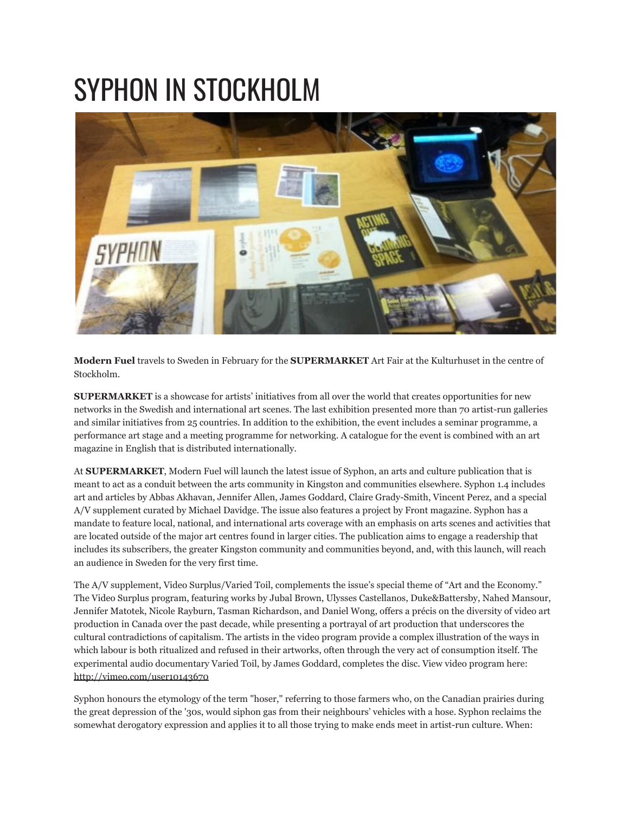## SYPHON IN STOCKHOLM



**Modern Fuel** travels to Sweden in February for the **SUPERMARKET** Art Fair at the Kulturhuset in the centre of Stockholm.

**SUPERMARKET** is a showcase for artists' initiatives from all over the world that creates opportunities for new networks in the Swedish and international art scenes. The last exhibition presented more than 70 artist-run galleries and similar initiatives from 25 countries. In addition to the exhibition, the event includes a seminar programme, a performance art stage and a meeting programme for networking. A catalogue for the event is combined with an art magazine in English that is distributed internationally.

At **SUPERMARKET**, Modern Fuel will launch the latest issue of Syphon, an arts and culture publication that is meant to act as a conduit between the arts community in Kingston and communities elsewhere. Syphon 1.4 includes art and articles by Abbas Akhavan, Jennifer Allen, James Goddard, Claire Grady-Smith, Vincent Perez, and a special A/V supplement curated by Michael Davidge. The issue also features a project by Front magazine. Syphon has a mandate to feature local, national, and international arts coverage with an emphasis on arts scenes and activities that are located outside of the major art centres found in larger cities. The publication aims to engage a readership that includes its subscribers, the greater Kingston community and communities beyond, and, with this launch, will reach an audience in Sweden for the very first time.

The A/V supplement, Video Surplus/Varied Toil, complements the issue's special theme of "Art and the Economy." The Video Surplus program, featuring works by Jubal Brown, Ulysses Castellanos, Duke&Battersby, Nahed Mansour, Jennifer Matotek, Nicole Rayburn, Tasman Richardson, and Daniel Wong, offers a précis on the diversity of video art production in Canada over the past decade, while presenting a portrayal of art production that underscores the cultural contradictions of capitalism. The artists in the video program provide a complex illustration of the ways in which labour is both ritualized and refused in their artworks, often through the very act of consumption itself. The experimental audio documentary Varied Toil, by James Goddard, completes the disc. View video program here: <http://vimeo.com/user10143670>

Syphon honours the etymology of the term "hoser," referring to those farmers who, on the Canadian prairies during the great depression of the '30s, would siphon gas from their neighbours' vehicles with a hose. Syphon reclaims the somewhat derogatory expression and applies it to all those trying to make ends meet in artist-run culture. When: